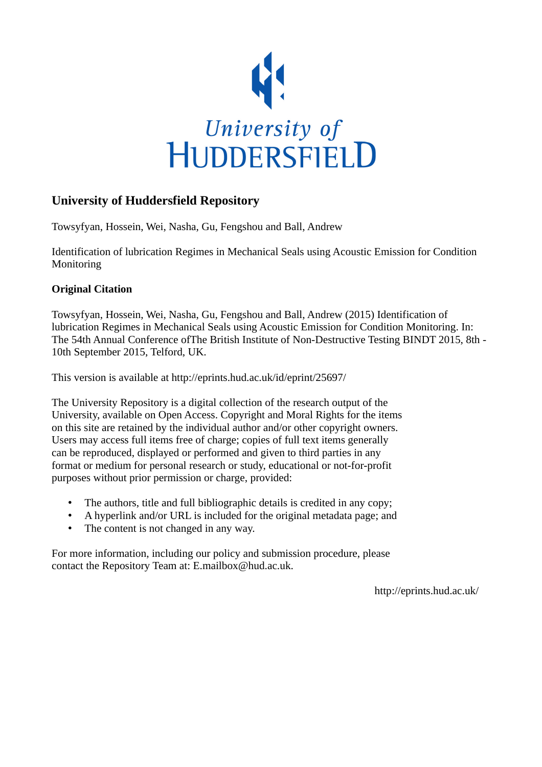

# **University of Huddersfield Repository**

Towsyfyan, Hossein, Wei, Nasha, Gu, Fengshou and Ball, Andrew

Identification of lubrication Regimes in Mechanical Seals using Acoustic Emission for Condition Monitoring

### **Original Citation**

Towsyfyan, Hossein, Wei, Nasha, Gu, Fengshou and Ball, Andrew (2015) Identification of lubrication Regimes in Mechanical Seals using Acoustic Emission for Condition Monitoring. In: The 54th Annual Conference ofThe British Institute of Non-Destructive Testing BINDT 2015, 8th - 10th September 2015, Telford, UK.

This version is available at http://eprints.hud.ac.uk/id/eprint/25697/

The University Repository is a digital collection of the research output of the University, available on Open Access. Copyright and Moral Rights for the items on this site are retained by the individual author and/or other copyright owners. Users may access full items free of charge; copies of full text items generally can be reproduced, displayed or performed and given to third parties in any format or medium for personal research or study, educational or not-for-profit purposes without prior permission or charge, provided:

- The authors, title and full bibliographic details is credited in any copy;
- A hyperlink and/or URL is included for the original metadata page; and
- The content is not changed in any way.

For more information, including our policy and submission procedure, please contact the Repository Team at: E.mailbox@hud.ac.uk.

http://eprints.hud.ac.uk/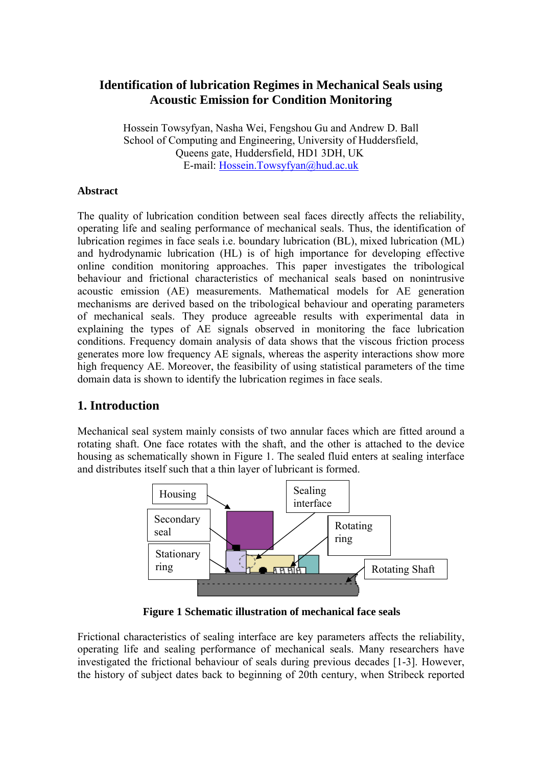## **Identification of lubrication Regimes in Mechanical Seals using Acoustic Emission for Condition Monitoring**

Hossein Towsyfyan, Nasha Wei, Fengshou Gu and Andrew D. Ball School of Computing and Engineering, University of Huddersfield, Queens gate, Huddersfield, HD1 3DH, UK E-mail: Hossein.Towsyfyan@hud.ac.uk

### **Abstract**

The quality of lubrication condition between seal faces directly affects the reliability, operating life and sealing performance of mechanical seals. Thus, the identification of lubrication regimes in face seals i.e. boundary lubrication (BL), mixed lubrication (ML) and hydrodynamic lubrication (HL) is of high importance for developing effective online condition monitoring approaches. This paper investigates the tribological behaviour and frictional characteristics of mechanical seals based on nonintrusive acoustic emission (AE) measurements. Mathematical models for AE generation mechanisms are derived based on the tribological behaviour and operating parameters of mechanical seals. They produce agreeable results with experimental data in explaining the types of AE signals observed in monitoring the face lubrication conditions. Frequency domain analysis of data shows that the viscous friction process generates more low frequency AE signals, whereas the asperity interactions show more high frequency AE. Moreover, the feasibility of using statistical parameters of the time domain data is shown to identify the lubrication regimes in face seals.

# **1. Introduction**

Mechanical seal system mainly consists of two annular faces which are fitted around a rotating shaft. One face rotates with the shaft, and the other is attached to the device housing as schematically shown in Figure 1. The sealed fluid enters at sealing interface and distributes itself such that a thin layer of lubricant is formed.



**Figure 1 Schematic illustration of mechanical face seals** 

Frictional characteristics of sealing interface are key parameters affects the reliability, operating life and sealing performance of mechanical seals. Many researchers have investigated the frictional behaviour of seals during previous decades [1-3]. However, the history of subject dates back to beginning of 20th century, when Stribeck reported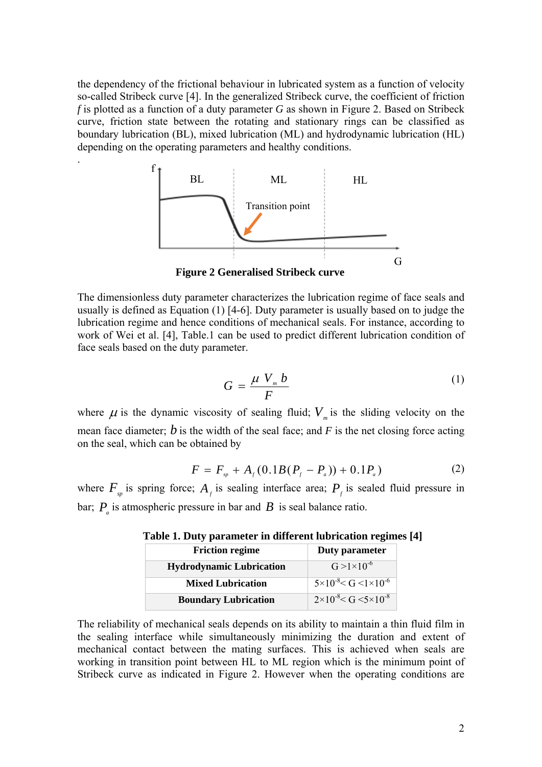the dependency of the frictional behaviour in lubricated system as a function of velocity so-called Stribeck curve [4]. In the generalized Stribeck curve, the coefficient of friction *f* is plotted as a function of a duty parameter *G* as shown in Figure 2. Based on Stribeck curve, friction state between the rotating and stationary rings can be classified as boundary lubrication (BL), mixed lubrication (ML) and hydrodynamic lubrication (HL) depending on the operating parameters and healthy conditions.

.



**Figure 2 Generalised Stribeck curve** 

The dimensionless duty parameter characterizes the lubrication regime of face seals and usually is defined as Equation (1) [4-6]. Duty parameter is usually based on to judge the lubrication regime and hence conditions of mechanical seals. For instance, according to work of Wei et al. [4], Table.1 can be used to predict different lubrication condition of face seals based on the duty parameter.

$$
G = \frac{\mu V_m b}{F} \tag{1}
$$

where  $\mu$  is the dynamic viscosity of sealing fluid;  $V<sub>m</sub>$  is the sliding velocity on the mean face diameter;  $\hat{b}$  is the width of the seal face; and  $F$  is the net closing force acting on the seal, which can be obtained by

$$
F = F_{\rm sp} + A_{\rm f} (0.1B(P_{\rm f} - P_{\rm a})) + 0.1P_{\rm a})
$$
 (2)

where  $F_{sp}$  is spring force;  $A_f$  is sealing interface area;  $P_f$  is sealed fluid pressure in bar;  $P_a$  is atmospheric pressure in bar and  $B$  is seal balance ratio.

| <b>Friction regime</b>          | Duty parameter                                        |
|---------------------------------|-------------------------------------------------------|
| <b>Hydrodynamic Lubrication</b> | $G > 1 \times 10^{-6}$                                |
| <b>Mixed Lubrication</b>        | $\frac{5 \times 10^{-8} \text{ C}}{5 \times 10^{-6}}$ |
| <b>Boundary Lubrication</b>     | $2 \times 10^{-8} < G < 5 \times 10^{-8}$             |

**Table 1. Duty parameter in different lubrication regimes [4]** 

The reliability of mechanical seals depends on its ability to maintain a thin fluid film in the sealing interface while simultaneously minimizing the duration and extent of mechanical contact between the mating surfaces. This is achieved when seals are working in transition point between HL to ML region which is the minimum point of Stribeck curve as indicated in Figure 2. However when the operating conditions are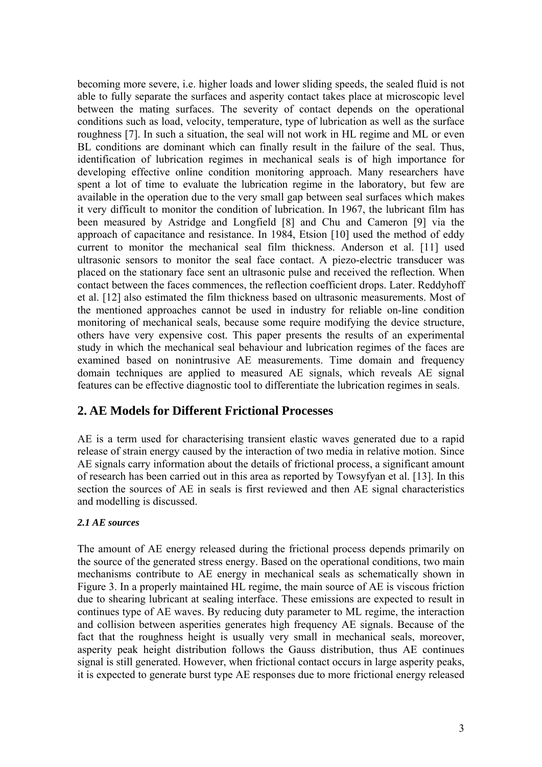becoming more severe, i.e. higher loads and lower sliding speeds, the sealed fluid is not able to fully separate the surfaces and asperity contact takes place at microscopic level between the mating surfaces. The severity of contact depends on the operational conditions such as load, velocity, temperature, type of lubrication as well as the surface roughness [7]. In such a situation, the seal will not work in HL regime and ML or even BL conditions are dominant which can finally result in the failure of the seal. Thus, identification of lubrication regimes in mechanical seals is of high importance for developing effective online condition monitoring approach. Many researchers have spent a lot of time to evaluate the lubrication regime in the laboratory, but few are available in the operation due to the very small gap between seal surfaces which makes it very difficult to monitor the condition of lubrication. In 1967, the lubricant film has been measured by Astridge and Longfield [8] and Chu and Cameron [9] via the approach of capacitance and resistance. In 1984, Etsion [10] used the method of eddy current to monitor the mechanical seal film thickness. Anderson et al. [11] used ultrasonic sensors to monitor the seal face contact. A piezo-electric transducer was placed on the stationary face sent an ultrasonic pulse and received the reflection. When contact between the faces commences, the reflection coefficient drops. Later. Reddyhoff et al. [12] also estimated the film thickness based on ultrasonic measurements. Most of the mentioned approaches cannot be used in industry for reliable on-line condition monitoring of mechanical seals, because some require modifying the device structure, others have very expensive cost. This paper presents the results of an experimental study in which the mechanical seal behaviour and lubrication regimes of the faces are examined based on nonintrusive AE measurements. Time domain and frequency domain techniques are applied to measured AE signals, which reveals AE signal features can be effective diagnostic tool to differentiate the lubrication regimes in seals.

## **2. AE Models for Different Frictional Processes**

AE is a term used for characterising transient elastic waves generated due to a rapid release of strain energy caused by the interaction of two media in relative motion. Since AE signals carry information about the details of frictional process, a significant amount of research has been carried out in this area as reported by Towsyfyan et al. [13]. In this section the sources of AE in seals is first reviewed and then AE signal characteristics and modelling is discussed.

### *2.1 AE sources*

The amount of AE energy released during the frictional process depends primarily on the source of the generated stress energy. Based on the operational conditions, two main mechanisms contribute to AE energy in mechanical seals as schematically shown in Figure 3. In a properly maintained HL regime, the main source of AE is viscous friction due to shearing lubricant at sealing interface. These emissions are expected to result in continues type of AE waves. By reducing duty parameter to ML regime, the interaction and collision between asperities generates high frequency AE signals. Because of the fact that the roughness height is usually very small in mechanical seals, moreover, asperity peak height distribution follows the Gauss distribution, thus AE continues signal is still generated. However, when frictional contact occurs in large asperity peaks, it is expected to generate burst type AE responses due to more frictional energy released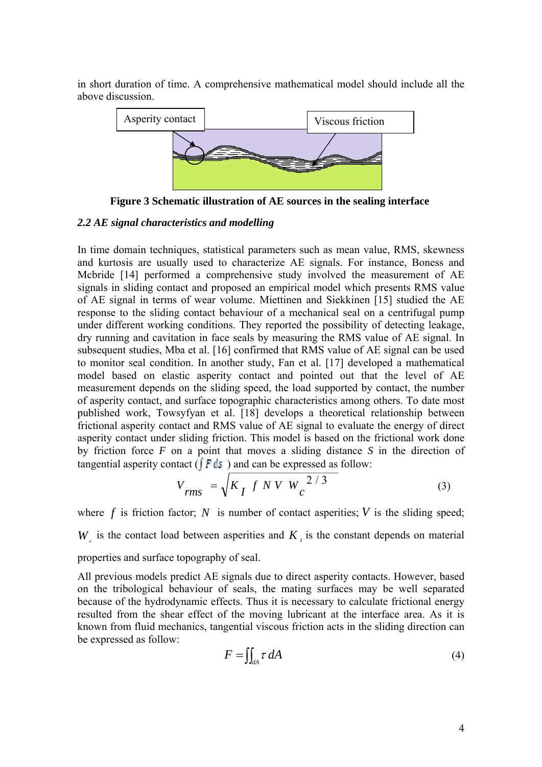in short duration of time. A comprehensive mathematical model should include all the above discussion.



**Figure 3 Schematic illustration of AE sources in the sealing interface** 

#### *2.2 AE signal characteristics and modelling*

In time domain techniques, statistical parameters such as mean value, RMS, skewness and kurtosis are usually used to characterize AE signals. For instance, Boness and Mcbride [14] performed a comprehensive study involved the measurement of AE signals in sliding contact and proposed an empirical model which presents RMS value of AE signal in terms of wear volume. Miettinen and Siekkinen [15] studied the AE response to the sliding contact behaviour of a mechanical seal on a centrifugal pump under different working conditions. They reported the possibility of detecting leakage, dry running and cavitation in face seals by measuring the RMS value of AE signal. In subsequent studies, Mba et al. [16] confirmed that RMS value of AE signal can be used to monitor seal condition. In another study, Fan et al. [17] developed a mathematical model based on elastic asperity contact and pointed out that the level of AE measurement depends on the sliding speed, the load supported by contact, the number of asperity contact, and surface topographic characteristics among others. To date most published work, Towsyfyan et al. [18] develops a theoretical relationship between frictional asperity contact and RMS value of AE signal to evaluate the energy of direct asperity contact under sliding friction. This model is based on the frictional work done by friction force *F* on a point that moves a sliding distance *S* in the direction of tangential asperity contact ( $\int \vec{F} ds$ ) and can be expressed as follow:

$$
V_{rms} = \sqrt{K_I f N V W_c^{2/3}}
$$
 (3)

where  $f$  is friction factor;  $N$  is number of contact asperities;  $V$  is the sliding speed; *W* is the contact load between asperities and  $K$ , is the constant depends on material properties and surface topography of seal.

All previous models predict AE signals due to direct asperity contacts. However, based on the tribological behaviour of seals, the mating surfaces may be well separated because of the hydrodynamic effects. Thus it is necessary to calculate frictional energy resulted from the shear effect of the moving lubricant at the interface area. As it is known from fluid mechanics, tangential viscous friction acts in the sliding direction can be expressed as follow:

$$
F = \iint_{dA} \tau \, dA \tag{4}
$$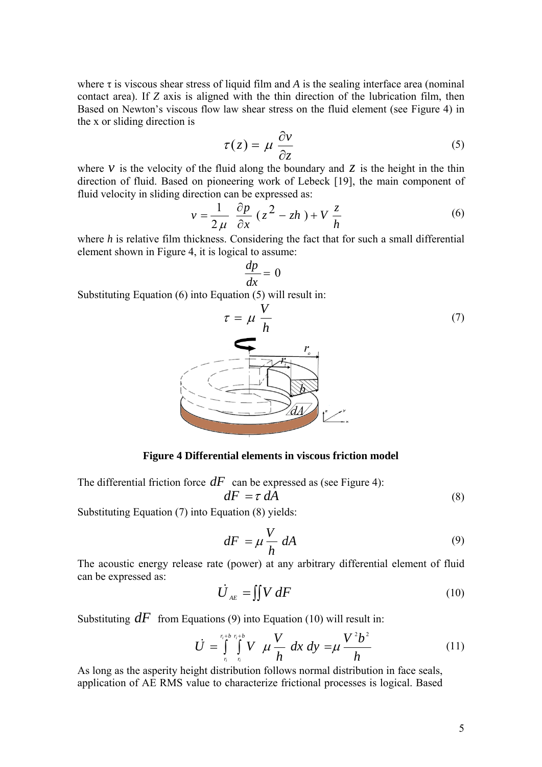where  $\tau$  is viscous shear stress of liquid film and  $A$  is the sealing interface area (nominal contact area). If *Z* axis is aligned with the thin direction of the lubrication film, then Based on Newton's viscous flow law shear stress on the fluid element (see Figure 4) in the x or sliding direction is

$$
\tau(z) = \mu \frac{\partial v}{\partial z} \tag{5}
$$

where  $\nu$  is the velocity of the fluid along the boundary and  $\zeta$  is the height in the thin direction of fluid. Based on pioneering work of Lebeck [19], the main component of fluid velocity in sliding direction can be expressed as:

$$
v = \frac{1}{2\mu} \frac{\partial p}{\partial x} (z^2 - zh) + V \frac{z}{h}
$$
 (6)

where *h* is relative film thickness. Considering the fact that for such a small differential element shown in Figure 4, it is logical to assume:

$$
\frac{dp}{dx} = 0
$$

Substituting Equation (6) into Equation (5) will result in:



**Figure 4 Differential elements in viscous friction model** 

The differential friction force  $dF$  can be expressed as (see Figure 4):

$$
dF = \tau \, dA \tag{8}
$$

Substituting Equation (7) into Equation (8) yields:

$$
dF = \mu \frac{V}{h} dA \tag{9}
$$

The acoustic energy release rate (power) at any arbitrary differential element of fluid can be expressed as:

$$
\dot{U}_{_{AE}} = \iint V \, dF \tag{10}
$$

Substituting  $dF$  from Equations (9) into Equation (10) will result in:

$$
\dot{U} = \int_{r_i}^{r_i + b} \int_{r_i}^{r_i + b} V \mu \frac{V}{h} dx dy = \mu \frac{V^2 b^2}{h}
$$
 (11)

As long as the asperity height distribution follows normal distribution in face seals, application of AE RMS value to characterize frictional processes is logical. Based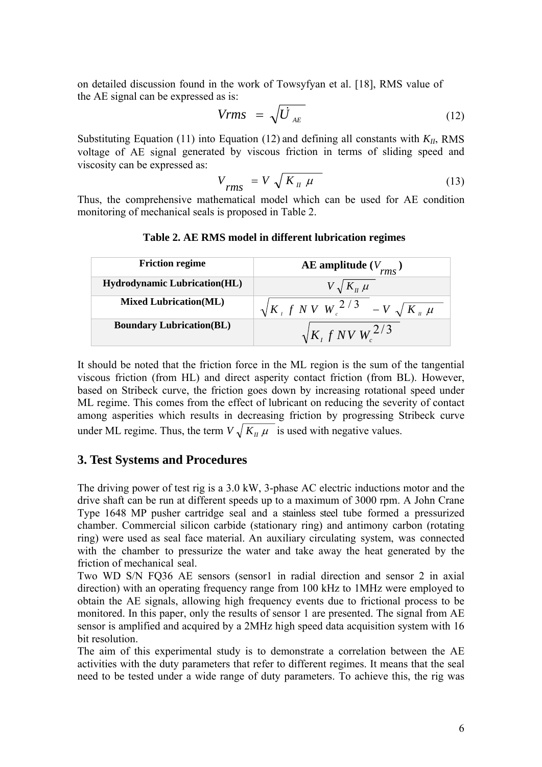on detailed discussion found in the work of Towsyfyan et al. [18], RMS value of the AE signal can be expressed as is:

$$
Vrms = \sqrt{\dot{U}}_{AE} \tag{12}
$$

Substituting Equation (11) into Equation (12) and defining all constants with  $K_{II}$ , RMS voltage of AE signal generated by viscous friction in terms of sliding speed and viscosity can be expressed as:

$$
V_{rms} = V \sqrt{K_{\mu} \mu}
$$
 (13)

Thus, the comprehensive mathematical model which can be used for AE condition monitoring of mechanical seals is proposed in Table 2.

| <b>Friction regime</b>              | <b>AE</b> amplitude $(V_{rms})$                     |
|-------------------------------------|-----------------------------------------------------|
| <b>Hydrodynamic Lubrication(HL)</b> | $V \sqrt{K_{\mu} \mu}$                              |
| <b>Mixed Lubrication(ML)</b>        | $\sqrt{K_{\mu} f N V_{\mu}^2}$ $\sqrt{K_{\mu} \mu}$ |
| <b>Boundary Lubrication(BL)</b>     | $\sqrt{K_{I} f N V W_{I}^2}$                        |

### **Table 2. AE RMS model in different lubrication regimes**

It should be noted that the friction force in the ML region is the sum of the tangential viscous friction (from HL) and direct asperity contact friction (from BL). However, based on Stribeck curve, the friction goes down by increasing rotational speed under ML regime. This comes from the effect of lubricant on reducing the severity of contact among asperities which results in decreasing friction by progressing Stribeck curve under ML regime. Thus, the term  $V \sqrt{K_{II} \mu}$  is used with negative values.

### **3. Test Systems and Procedures**

The driving power of test rig is a 3.0 kW, 3-phase AC electric inductions motor and the drive shaft can be run at different speeds up to a maximum of 3000 rpm. A John Crane Type 1648 MP pusher cartridge seal and a stainless steel tube formed a pressurized chamber. Commercial silicon carbide (stationary ring) and antimony carbon (rotating ring) were used as seal face material. An auxiliary circulating system, was connected with the chamber to pressurize the water and take away the heat generated by the friction of mechanical seal.

Two WD S/N FQ36 AE sensors (sensor1 in radial direction and sensor 2 in axial direction) with an operating frequency range from 100 kHz to 1MHz were employed to obtain the AE signals, allowing high frequency events due to frictional process to be monitored. In this paper, only the results of sensor 1 are presented. The signal from AE sensor is amplified and acquired by a 2MHz high speed data acquisition system with 16 bit resolution.

The aim of this experimental study is to demonstrate a correlation between the AE activities with the duty parameters that refer to different regimes. It means that the seal need to be tested under a wide range of duty parameters. To achieve this, the rig was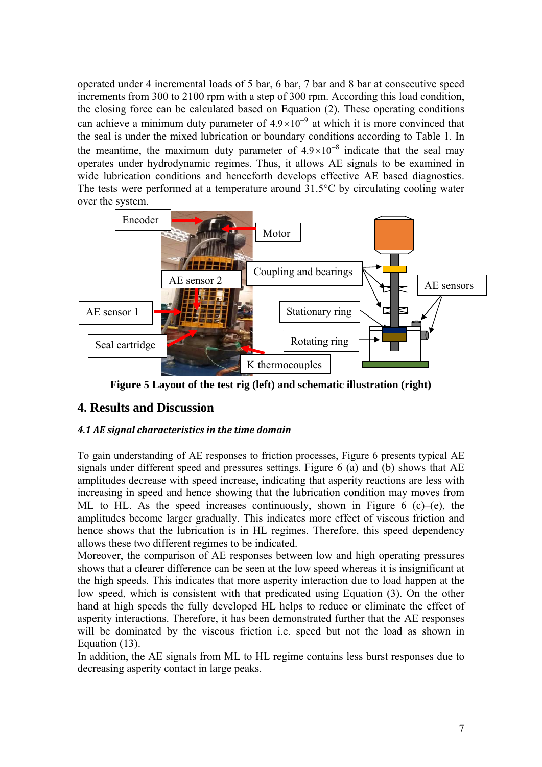operated under 4 incremental loads of 5 bar, 6 bar, 7 bar and 8 bar at consecutive speed increments from 300 to 2100 rpm with a step of 300 rpm. According this load condition, the closing force can be calculated based on Equation (2). These operating conditions can achieve a minimum duty parameter of  $4.9 \times 10^{-9}$  at which it is more convinced that the seal is under the mixed lubrication or boundary conditions according to Table 1. In the meantime, the maximum duty parameter of  $4.9 \times 10^{-8}$  indicate that the seal may operates under hydrodynamic regimes. Thus, it allows AE signals to be examined in wide lubrication conditions and henceforth develops effective AE based diagnostics. The tests were performed at a temperature around 31.5°C by circulating cooling water over the system.



**Figure 5 Layout of the test rig (left) and schematic illustration (right)** 

# **4. Results and Discussion**

### *4.1 AE signal characteristics in the time domain*

To gain understanding of AE responses to friction processes, Figure 6 presents typical AE signals under different speed and pressures settings. Figure 6 (a) and (b) shows that AE amplitudes decrease with speed increase, indicating that asperity reactions are less with increasing in speed and hence showing that the lubrication condition may moves from ML to HL. As the speed increases continuously, shown in Figure 6 (c)–(e), the amplitudes become larger gradually. This indicates more effect of viscous friction and hence shows that the lubrication is in HL regimes. Therefore, this speed dependency allows these two different regimes to be indicated.

Moreover, the comparison of AE responses between low and high operating pressures shows that a clearer difference can be seen at the low speed whereas it is insignificant at the high speeds. This indicates that more asperity interaction due to load happen at the low speed, which is consistent with that predicated using Equation (3). On the other hand at high speeds the fully developed HL helps to reduce or eliminate the effect of asperity interactions. Therefore, it has been demonstrated further that the AE responses will be dominated by the viscous friction i.e. speed but not the load as shown in Equation (13).

In addition, the AE signals from ML to HL regime contains less burst responses due to decreasing asperity contact in large peaks.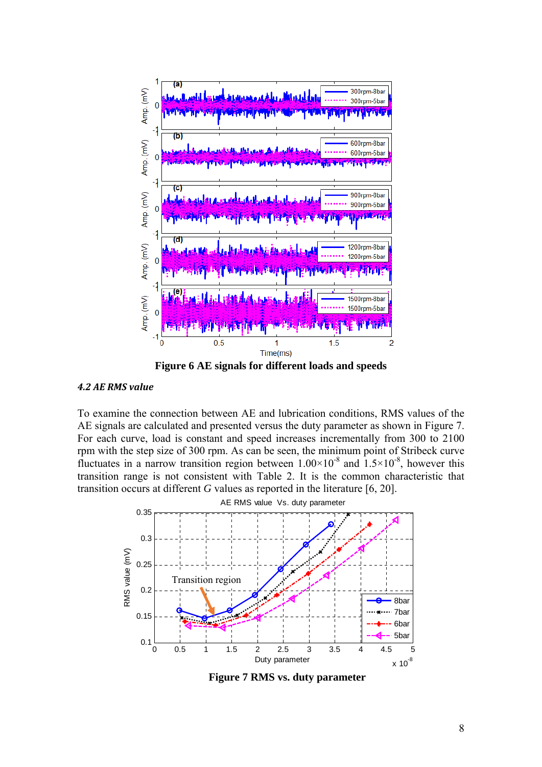

**Figure 6 AE signals for different loads and speeds** 

#### *4.2 AE RMS value*

To examine the connection between AE and lubrication conditions, RMS values of the AE signals are calculated and presented versus the duty parameter as shown in Figure 7. For each curve, load is constant and speed increases incrementally from 300 to 2100 rpm with the step size of 300 rpm. As can be seen, the minimum point of Stribeck curve fluctuates in a narrow transition region between  $1.00\times10^{-8}$  and  $1.5\times10^{-8}$ , however this transition range is not consistent with Table 2. It is the common characteristic that transition occurs at different *G* values as reported in the literature [6, 20].



**Figure 7 RMS vs. duty parameter**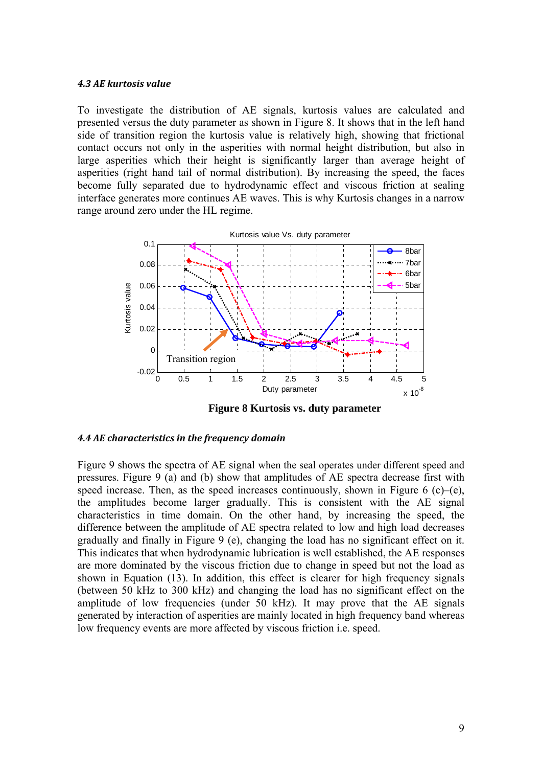#### *4.3 AE kurtosis value*

To investigate the distribution of AE signals, kurtosis values are calculated and presented versus the duty parameter as shown in Figure 8. It shows that in the left hand side of transition region the kurtosis value is relatively high, showing that frictional contact occurs not only in the asperities with normal height distribution, but also in large asperities which their height is significantly larger than average height of asperities (right hand tail of normal distribution). By increasing the speed, the faces become fully separated due to hydrodynamic effect and viscous friction at sealing interface generates more continues AE waves. This is why Kurtosis changes in a narrow range around zero under the HL regime.



**Figure 8 Kurtosis vs. duty parameter** 

#### *4.4 AE characteristics in the frequency domain*

Figure 9 shows the spectra of AE signal when the seal operates under different speed and pressures. Figure 9 (a) and (b) show that amplitudes of AE spectra decrease first with speed increase. Then, as the speed increases continuously, shown in Figure 6 (c)–(e), the amplitudes become larger gradually. This is consistent with the AE signal characteristics in time domain. On the other hand, by increasing the speed, the difference between the amplitude of AE spectra related to low and high load decreases gradually and finally in Figure 9 (e), changing the load has no significant effect on it. This indicates that when hydrodynamic lubrication is well established, the AE responses are more dominated by the viscous friction due to change in speed but not the load as shown in Equation (13). In addition, this effect is clearer for high frequency signals (between 50 kHz to 300 kHz) and changing the load has no significant effect on the amplitude of low frequencies (under 50 kHz). It may prove that the AE signals generated by interaction of asperities are mainly located in high frequency band whereas low frequency events are more affected by viscous friction i.e. speed.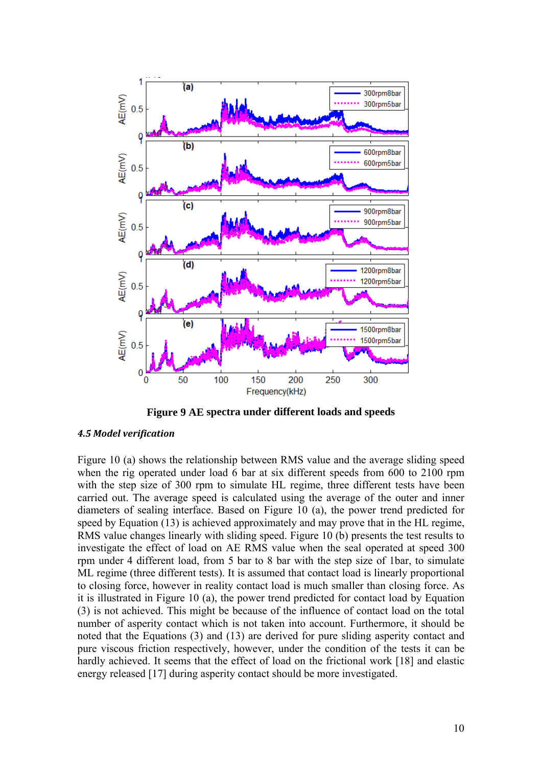

**Figure 9 AE spectra under different loads and speeds** 

#### *4.5 Model verification*

Figure 10 (a) shows the relationship between RMS value and the average sliding speed when the rig operated under load 6 bar at six different speeds from 600 to 2100 rpm with the step size of 300 rpm to simulate HL regime, three different tests have been carried out. The average speed is calculated using the average of the outer and inner diameters of sealing interface. Based on Figure 10 (a), the power trend predicted for speed by Equation (13) is achieved approximately and may prove that in the HL regime, RMS value changes linearly with sliding speed. Figure 10 (b) presents the test results to investigate the effect of load on AE RMS value when the seal operated at speed 300 rpm under 4 different load, from 5 bar to 8 bar with the step size of 1bar, to simulate ML regime (three different tests). It is assumed that contact load is linearly proportional to closing force, however in reality contact load is much smaller than closing force. As it is illustrated in Figure 10 (a), the power trend predicted for contact load by Equation (3) is not achieved. This might be because of the influence of contact load on the total number of asperity contact which is not taken into account. Furthermore, it should be noted that the Equations (3) and (13) are derived for pure sliding asperity contact and pure viscous friction respectively, however, under the condition of the tests it can be hardly achieved. It seems that the effect of load on the frictional work [18] and elastic energy released [17] during asperity contact should be more investigated.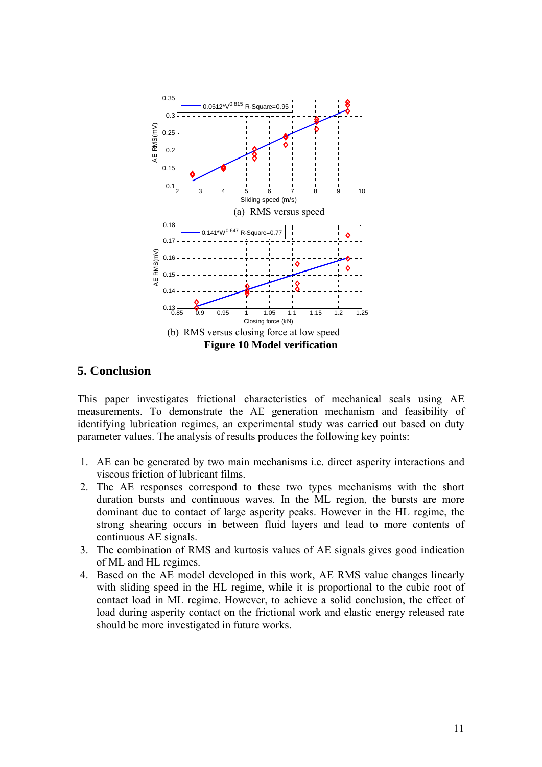

## **5. Conclusion**

This paper investigates frictional characteristics of mechanical seals using AE measurements. To demonstrate the AE generation mechanism and feasibility of identifying lubrication regimes, an experimental study was carried out based on duty parameter values. The analysis of results produces the following key points:

- 1. AE can be generated by two main mechanisms i.e. direct asperity interactions and viscous friction of lubricant films.
- 2. The AE responses correspond to these two types mechanisms with the short duration bursts and continuous waves. In the ML region, the bursts are more dominant due to contact of large asperity peaks. However in the HL regime, the strong shearing occurs in between fluid layers and lead to more contents of continuous AE signals.
- 3. The combination of RMS and kurtosis values of AE signals gives good indication of ML and HL regimes.
- 4. Based on the AE model developed in this work, AE RMS value changes linearly with sliding speed in the HL regime, while it is proportional to the cubic root of contact load in ML regime. However, to achieve a solid conclusion, the effect of load during asperity contact on the frictional work and elastic energy released rate should be more investigated in future works.